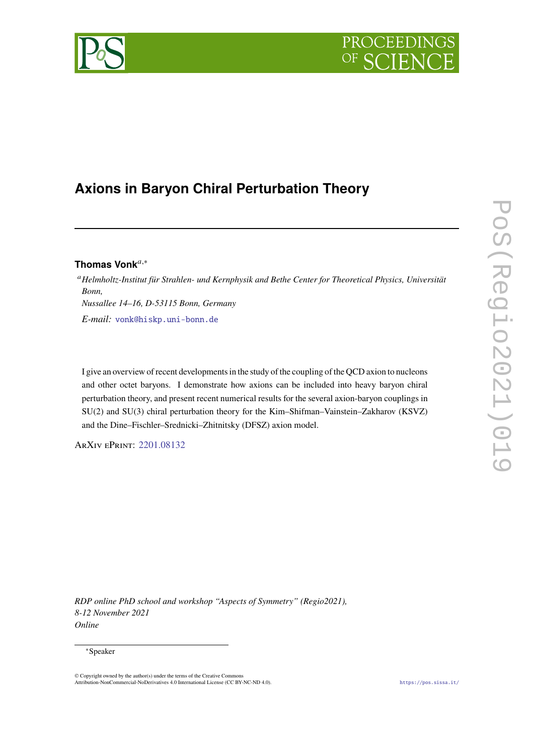# PROCEEDIN

# **Axions in Baryon Chiral Perturbation Theory**

## Thomas Vonk<sup>a,∗</sup>

*Helmholtz-Institut für Strahlen- und Kernphysik and Bethe Center for Theoretical Physics, Universität Bonn, Nussallee 14–16, D-53115 Bonn, Germany E-mail:* [vonk@hiskp.uni-bonn.de](mailto:vonk@hiskp.uni-bonn.de)

I give an overview of recent developments in the study of the coupling of the QCD axion to nucleons and other octet baryons. I demonstrate how axions can be included into heavy baryon chiral perturbation theory, and present recent numerical results for the several axion-baryon couplings in SU(2) and SU(3) chiral perturbation theory for the Kim–Shifman–Vainstein–Zakharov (KSVZ) and the Dine–Fischler–Srednicki–Zhitnitsky (DFSZ) axion model.

ArXiv ePrint: [2201.08132](https://arxiv.org/abs/2201.08132)

*RDP online PhD school and workshop "Aspects of Symmetry" (Regio2021), 8-12 November 2021 Online*

### <sup>∗</sup>Speaker

<sup>©</sup> Copyright owned by the author(s) under the terms of the Creative Commons Attribution-NonCommercial-NoDerivatives 4.0 International License (CC BY-NC-ND 4.0). <https://pos.sissa.it/>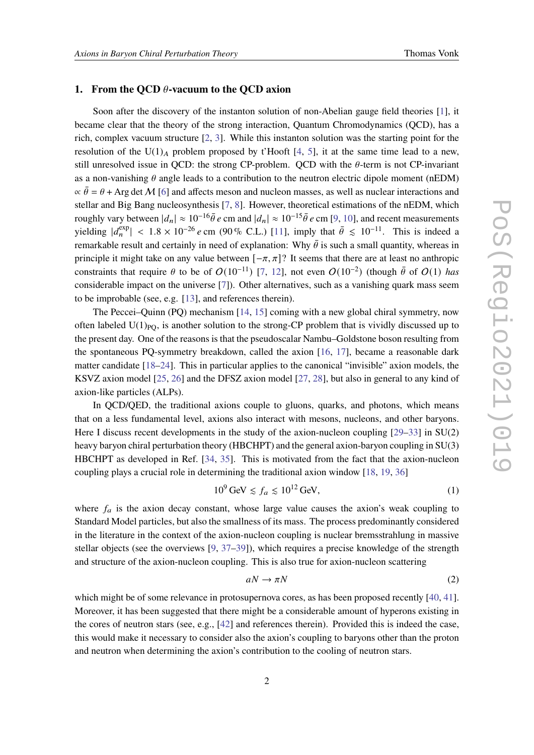#### **1. From the QCD**  $\theta$ **-vacuum to the QCD axion**

Soon after the discovery of the instanton solution of non-Abelian gauge field theories [\[1\]](#page-7-0), it became clear that the theory of the strong interaction, Quantum Chromodynamics (QCD), has a rich, complex vacuum structure [\[2,](#page-7-1) [3\]](#page-7-2). While this instanton solution was the starting point for the resolution of the U(1)<sub>A</sub> problem proposed by t'Hooft [\[4,](#page-7-3) [5\]](#page-7-4), it at the same time lead to a new, still unresolved issue in QCD: the strong CP-problem. QCD with the  $\theta$ -term is not CP-invariant as a non-vanishing  $\theta$  angle leads to a contribution to the neutron electric dipole moment (nEDM)  $\alpha \bar{\theta} = \theta + \text{Arg det } M$  [\[6\]](#page-7-5) and affects meson and nucleon masses, as well as nuclear interactions and stellar and Big Bang nucleosynthesis [\[7,](#page-7-6) [8\]](#page-8-0). However, theoretical estimations of the nEDM, which roughly vary between  $|d_n| \approx 10^{-16} \bar{\theta} e$  cm and  $|d_n| \approx 10^{-15} \bar{\theta} e$  cm [\[9,](#page-8-1) [10\]](#page-8-2), and recent measurements yielding  $|d_n^{\text{exp}}| < 1.8 \times 10^{-26} e \text{ cm } (90\% \text{ C.L.})$  [\[11\]](#page-8-3), imply that  $\bar{\theta} \le 10^{-11}$ . This is indeed a remarkable result and certainly in need of explanation: Why  $\bar{\theta}$  is such a small quantity, whereas in principle it might take on any value between  $[-\pi, \pi]$ ? It seems that there are at least no anthropic constraints that require  $\theta$  to be of  $O(10^{-11})$  [\[7,](#page-7-6) [12\]](#page-8-4), not even  $O(10^{-2})$  (though  $\bar{\theta}$  of  $O(1)$  has considerable impact on the universe [\[7\]](#page-7-6)). Other alternatives, such as a vanishing quark mass seem to be improbable (see, e.g. [\[13\]](#page-8-5), and references therein).

The Peccei–Quinn (PQ) mechanism [\[14,](#page-8-6) [15\]](#page-8-7) coming with a new global chiral symmetry, now often labeled  $U(1)_{PQ}$ , is another solution to the strong-CP problem that is vividly discussed up to the present day. One of the reasons is that the pseudoscalar Nambu–Goldstone boson resulting from the spontaneous PQ-symmetry breakdown, called the axion [\[16,](#page-8-8) [17\]](#page-8-9), became a reasonable dark matter candidate [\[18](#page-8-10)[–24\]](#page-8-11). This in particular applies to the canonical "invisible" axion models, the KSVZ axion model [\[25,](#page-8-12) [26\]](#page-9-0) and the DFSZ axion model [\[27,](#page-9-1) [28\]](#page-9-2), but also in general to any kind of axion-like particles (ALPs).

In QCD/QED, the traditional axions couple to gluons, quarks, and photons, which means that on a less fundamental level, axions also interact with mesons, nucleons, and other baryons. Here I discuss recent developments in the study of the axion-nucleon coupling [\[29](#page-9-3)[–33\]](#page-9-4) in SU(2) heavy baryon chiral perturbation theory (HBCHPT) and the general axion-baryon coupling in SU(3) HBCHPT as developed in Ref. [\[34,](#page-9-5) [35\]](#page-9-6). This is motivated from the fact that the axion-nucleon coupling plays a crucial role in determining the traditional axion window [\[18,](#page-8-10) [19,](#page-8-13) [36\]](#page-9-7)

$$
10^9 \,\text{GeV} \lesssim f_a \lesssim 10^{12} \,\text{GeV},\tag{1}
$$

where  $f_a$  is the axion decay constant, whose large value causes the axion's weak coupling to Standard Model particles, but also the smallness of its mass. The process predominantly considered in the literature in the context of the axion-nucleon coupling is nuclear bremsstrahlung in massive stellar objects (see the overviews [\[9,](#page-8-1) [37–](#page-9-8)[39\]](#page-9-9)), which requires a precise knowledge of the strength and structure of the axion-nucleon coupling. This is also true for axion-nucleon scattering

$$
aN \to \pi N \tag{2}
$$

which might be of some relevance in protosupernova cores, as has been proposed recently [\[40,](#page-9-10) [41\]](#page-9-11). Moreover, it has been suggested that there might be a considerable amount of hyperons existing in the cores of neutron stars (see, e.g., [\[42\]](#page-9-12) and references therein). Provided this is indeed the case, this would make it necessary to consider also the axion's coupling to baryons other than the proton and neutron when determining the axion's contribution to the cooling of neutron stars.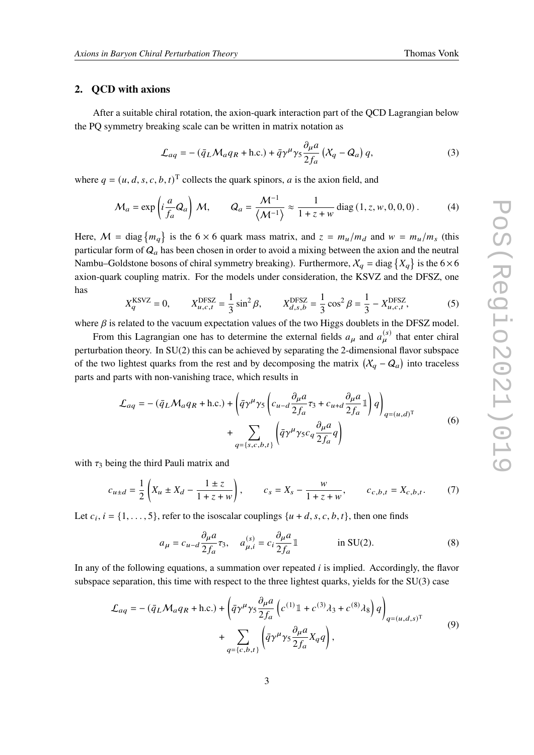#### **2. QCD with axions**

After a suitable chiral rotation, the axion-quark interaction part of the QCD Lagrangian below the PQ symmetry breaking scale can be written in matrix notation as

$$
\mathcal{L}_{aq} = -(\bar{q}_L \mathcal{M}_a q_R + \text{h.c.}) + \bar{q} \gamma^\mu \gamma_5 \frac{\partial_\mu a}{2f_a} \left( X_q - Q_a \right) q,\tag{3}
$$

where  $q = (u, d, s, c, b, t)^T$  collects the quark spinors, a is the axion field, and

<span id="page-2-0"></span>
$$
\mathcal{M}_a = \exp\left(i\frac{a}{f_a}Q_a\right)\mathcal{M}, \qquad Q_a = \frac{\mathcal{M}^{-1}}{\langle \mathcal{M}^{-1} \rangle} \approx \frac{1}{1+z+w} \operatorname{diag}\left(1, z, w, 0, 0, 0\right). \tag{4}
$$

Here,  $M = \text{diag}\{m_q\}$  is the 6 × 6 quark mass matrix, and  $z = m_u/m_d$  and  $w = m_u/m_s$  (this particular form of  $Q_a$  has been chosen in order to avoid a mixing between the axion and the neutral Nambu–Goldstone bosons of chiral symmetry breaking). Furthermore,  $X_q = \text{diag} \{X_q\}$  is the  $6 \times 6$ axion-quark coupling matrix. For the models under consideration, the KSVZ and the DFSZ, one has

$$
X_{q}^{\text{KSVZ}} = 0, \qquad X_{u,c,t}^{\text{DFSZ}} = \frac{1}{3}\sin^{2}\beta, \qquad X_{d,s,b}^{\text{DFSZ}} = \frac{1}{3}\cos^{2}\beta = \frac{1}{3} - X_{u,c,t}^{\text{DFSZ}},\tag{5}
$$

where  $\beta$  is related to the vacuum expectation values of the two Higgs doublets in the DFSZ model.

From this Lagrangian one has to determine the external fields  $a_{\mu}$  and  $a_{\mu}^{(s)}$  that enter chiral perturbation theory. In SU(2) this can be achieved by separating the 2-dimensional flavor subspace of the two lightest quarks from the rest and by decomposing the matrix  $(X_q - Q_q)$  into traceless parts and parts with non-vanishing trace, which results in

$$
\mathcal{L}_{aq} = -(\bar{q}_L \mathcal{M}_a q_R + \text{h.c.}) + \left(\bar{q}\gamma^\mu \gamma_5 \left(c_{u-d} \frac{\partial_\mu a}{2f_a} \tau_3 + c_{u+d} \frac{\partial_\mu a}{2f_a} \mathbb{1}\right) q\right)_{q=(u,d)^{\text{T}}} + \sum_{q=\{s,c,b,t\}} \left(\bar{q}\gamma^\mu \gamma_5 c_q \frac{\partial_\mu a}{2f_a} q\right)
$$
\n(6)

with  $\tau_3$  being the third Pauli matrix and

$$
c_{u\pm d} = \frac{1}{2} \left( X_u \pm X_d - \frac{1 \pm z}{1 + z + w} \right), \qquad c_s = X_s - \frac{w}{1 + z + w}, \qquad c_{c,b,t} = X_{c,b,t}.
$$
 (7)

Let  $c_i$ ,  $i = \{1, \ldots, 5\}$ , refer to the isoscalar couplings  $\{u + d, s, c, b, t\}$ , then one finds

<span id="page-2-1"></span>
$$
a_{\mu} = c_{u-d} \frac{\partial_{\mu} a}{\partial f_a} \tau_3, \quad a_{\mu,i}^{(s)} = c_i \frac{\partial_{\mu} a}{\partial f_a} \mathbb{1} \quad \text{in SU(2).}
$$
 (8)

In any of the following equations, a summation over repeated  $i$  is implied. Accordingly, the flavor subspace separation, this time with respect to the three lightest quarks, yields for the SU(3) case

$$
\mathcal{L}_{aq} = -(\bar{q}_L \mathcal{M}_a q_R + \text{h.c.}) + \left(\bar{q}\gamma^\mu \gamma_5 \frac{\partial_\mu a}{2f_a} \left(c^{(1)} \mathbb{1} + c^{(3)} \lambda_3 + c^{(8)} \lambda_8\right) q\right)_{q=(u,d,s)^T} + \sum_{q=\{c,b,t\}} \left(\bar{q}\gamma^\mu \gamma_5 \frac{\partial_\mu a}{2f_a} X_q q\right),
$$
\n(9)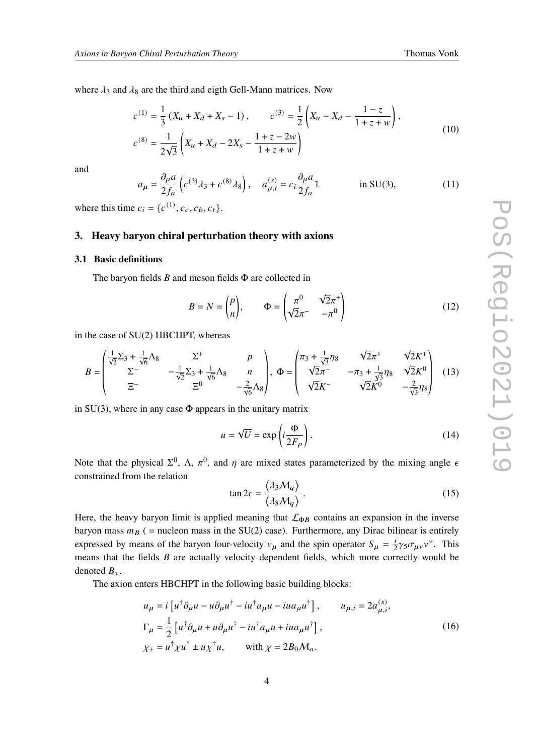where  $\lambda_3$  and  $\lambda_8$  are the third and eigth Gell-Mann matrices. Now

$$
c^{(1)} = \frac{1}{3} (X_u + X_d + X_s - 1), \qquad c^{(3)} = \frac{1}{2} \left( X_u - X_d - \frac{1 - z}{1 + z + w} \right),
$$
  

$$
c^{(8)} = \frac{1}{2\sqrt{3}} \left( X_u + X_d - 2X_s - \frac{1 + z - 2w}{1 + z + w} \right)
$$
 (10)

and

<span id="page-3-0"></span>
$$
a_{\mu} = \frac{\partial_{\mu} a}{2f_a} \left( c^{(3)} \lambda_3 + c^{(8)} \lambda_8 \right), \quad a_{\mu,i}^{(s)} = c_i \frac{\partial_{\mu} a}{2f_a} \mathbb{1} \quad \text{in SU(3),}
$$
 (11)

where this time  $c_i = \{c^{(1)}, c_c, c_b, c_t\}.$ 

#### **3. Heavy baryon chiral perturbation theory with axions**

#### **3.1 Basic definitions**

The baryon fields  $B$  and meson fields  $\Phi$  are collected in

$$
B = N = \begin{pmatrix} p \\ n \end{pmatrix}, \qquad \Phi = \begin{pmatrix} \pi^0 & \sqrt{2}\pi^+ \\ \sqrt{2}\pi^- & -\pi^0 \end{pmatrix}
$$
 (12)

in the case of SU(2) HBCHPT, whereas

$$
B = \begin{pmatrix} \frac{1}{\sqrt{2}} \Sigma_3 + \frac{1}{\sqrt{6}} \Lambda_8 & \Sigma^+ & p \\ \Sigma^- & -\frac{1}{\sqrt{2}} \Sigma_3 + \frac{1}{\sqrt{6}} \Lambda_8 & n \\ \Xi^- & \Xi^0 & -\frac{2}{\sqrt{6}} \Lambda_8 \end{pmatrix}, \Phi = \begin{pmatrix} \pi_3 + \frac{1}{\sqrt{3}} \eta_8 & \sqrt{2} \pi^+ & \sqrt{2} K^+ \\ \sqrt{2} \pi^- & -\pi_3 + \frac{1}{\sqrt{3}} \eta_8 & \sqrt{2} K^0 \\ \sqrt{2} K^- & \sqrt{2} K^0 & -\frac{2}{\sqrt{3}} \eta_8 \end{pmatrix}
$$
(13)

in  $SU(3)$ , where in any case  $\Phi$  appears in the unitary matrix

$$
u = \sqrt{U} = \exp\left(i\frac{\Phi}{2F_p}\right). \tag{14}
$$

Note that the physical  $\Sigma^0$ ,  $\Lambda$ ,  $\pi^0$ , and  $\eta$  are mixed states parameterized by the mixing angle  $\epsilon$ constrained from the relation

$$
\tan 2\epsilon = \frac{\langle \lambda_3 M_q \rangle}{\langle \lambda_8 M_q \rangle} \,. \tag{15}
$$

Here, the heavy baryon limit is applied meaning that  $\mathcal{L}_{\Phi B}$  contains an expansion in the inverse baryon mass  $m_B$  ( = nucleon mass in the SU(2) case). Furthermore, any Dirac bilinear is entirely expressed by means of the baryon four-velocity  $v_{\mu}$  and the spin operator  $S_{\mu} = \frac{i}{2}$  $\frac{i}{2}\gamma_5\sigma_{\mu\nu}v^{\nu}$ . This means that the fields  $B$  are actually velocity dependent fields, which more correctly would be denoted  $B_{\nu}$ .

The axion enters HBCHPT in the following basic building blocks:

$$
u_{\mu} = i \left[ u^{\dagger} \partial_{\mu} u - u \partial_{\mu} u^{\dagger} - i u^{\dagger} a_{\mu} u - i u a_{\mu} u^{\dagger} \right], \qquad u_{\mu, i} = 2 a_{\mu, i}^{(s)},
$$
  
\n
$$
\Gamma_{\mu} = \frac{1}{2} \left[ u^{\dagger} \partial_{\mu} u + u \partial_{\mu} u^{\dagger} - i u^{\dagger} a_{\mu} u + i u a_{\mu} u^{\dagger} \right],
$$
  
\n
$$
\chi_{\pm} = u^{\dagger} \chi u^{\dagger} \pm u \chi^{\dagger} u, \qquad \text{with } \chi = 2B_0 \mathcal{M}_a.
$$
\n(16)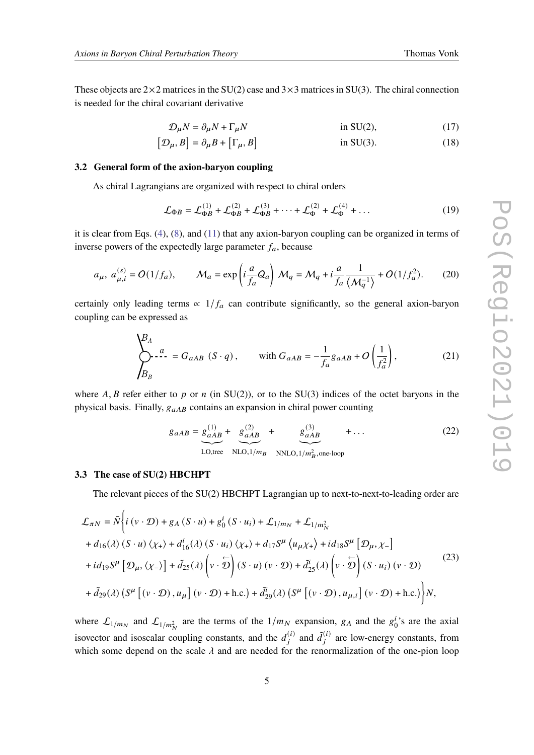These objects are  $2\times 2$  matrices in the SU(2) case and  $3\times 3$  matrices in SU(3). The chiral connection is needed for the chiral covariant derivative

$$
\mathcal{D}_{\mu}N = \partial_{\mu}N + \Gamma_{\mu}N \qquad \text{in SU(2),} \tag{17}
$$

$$
[\mathcal{D}_{\mu}, B] = \partial_{\mu} B + [\Gamma_{\mu}, B] \qquad \text{in SU(3).} \tag{18}
$$

#### **3.2 General form of the axion-baryon coupling**

As chiral Lagrangians are organized with respect to chiral orders

$$
\mathcal{L}_{\Phi B} = \mathcal{L}_{\Phi B}^{(1)} + \mathcal{L}_{\Phi B}^{(2)} + \mathcal{L}_{\Phi B}^{(3)} + \dots + \mathcal{L}_{\Phi}^{(2)} + \mathcal{L}_{\Phi}^{(4)} + \dots
$$
 (19)

it is clear from Eqs.  $(4)$ ,  $(8)$ , and  $(11)$  that any axion-baryon coupling can be organized in terms of inverse powers of the expectedly large parameter  $f_a$ , because

$$
a_{\mu}, a_{\mu,i}^{(s)} = O(1/f_a), \qquad \mathcal{M}_a = \exp\left(i\frac{a}{f_a}Q_a\right) \mathcal{M}_q = \mathcal{M}_q + i\frac{a}{f_a}\frac{1}{\langle M_q^{-1}\rangle} + O(1/f_a^2).
$$
 (20)

certainly only leading terms  $\propto 1/f_a$  can contribute significantly, so the general axion-baryon coupling can be expressed as

$$
\sum_{B_B}^{B_A} a = G_{aAB} (S \cdot q), \quad \text{with } G_{aAB} = -\frac{1}{f_a} g_{aAB} + O\left(\frac{1}{f_a^2}\right), \tag{21}
$$

where A, B refer either to p or  $n$  (in SU(2)), or to the SU(3) indices of the octet baryons in the physical basis. Finally,  $g_{aAB}$  contains an expansion in chiral power counting

$$
g_{aAB} = g_{aAB}^{(1)} + g_{aAB}^{(2)} + g_{aAB}^{(3)} + \cdots
$$
 (22)  
LO,tree NLO,1/m<sub>B</sub> NNLO,1/m<sub>B</sub><sup>2</sup>, one-loop

#### **3.3 The case of SU(2) HBCHPT**

The relevant pieces of the SU(2) HBCHPT Lagrangian up to next-to-next-to-leading order are

$$
\mathcal{L}_{\pi N} = \bar{N} \Biggl\{ i (v \cdot \mathcal{D}) + g_A (S \cdot u) + g_0^i (S \cdot u_i) + \mathcal{L}_{1/m_N} + \mathcal{L}_{1/m_N^2} \n+ d_{16}(\lambda) (S \cdot u) \langle \chi_+ \rangle + d_{16}^i(\lambda) (S \cdot u_i) \langle \chi_+ \rangle + d_{17} S^{\mu} \langle u_{\mu} \chi_+ \rangle + id_{18} S^{\mu} [\mathcal{D}_{\mu}, \chi_-] \n+ id_{19} S^{\mu} [\mathcal{D}_{\mu}, \langle \chi_- \rangle] + \tilde{d}_{25}(\lambda) \Biggl( v \cdot \tilde{\mathcal{D}} \Biggr) (S \cdot u) (v \cdot \mathcal{D}) + \tilde{d}_{25}^i(\lambda) \Biggl( v \cdot \tilde{\mathcal{D}} \Biggr) (S \cdot u_i) (v \cdot \mathcal{D}) \n+ \tilde{d}_{29}(\lambda) (S^{\mu} [ (v \cdot \mathcal{D}), u_{\mu} ] (v \cdot \mathcal{D}) + \text{h.c.}) + \tilde{d}_{29}^i(\lambda) (S^{\mu} [ (v \cdot \mathcal{D}), u_{\mu, i} ] (v \cdot \mathcal{D}) + \text{h.c.}) \Biggr\} N,
$$
\n(23)

where  $\mathcal{L}_{1/m_N}$  and  $\mathcal{L}_{1/m_N^2}$  are the terms of the  $1/m_N$  expansion,  $g_A$  and the  $g_0^i$  $i<sub>0</sub>$ 's are the axial isovector and isoscalar coupling constants, and the  $d_i^{(i)}$  and  $\tilde{d}_i^{(i)}$  are low-energy constants, from which some depend on the scale  $\lambda$  and are needed for the renormalization of the one-pion loop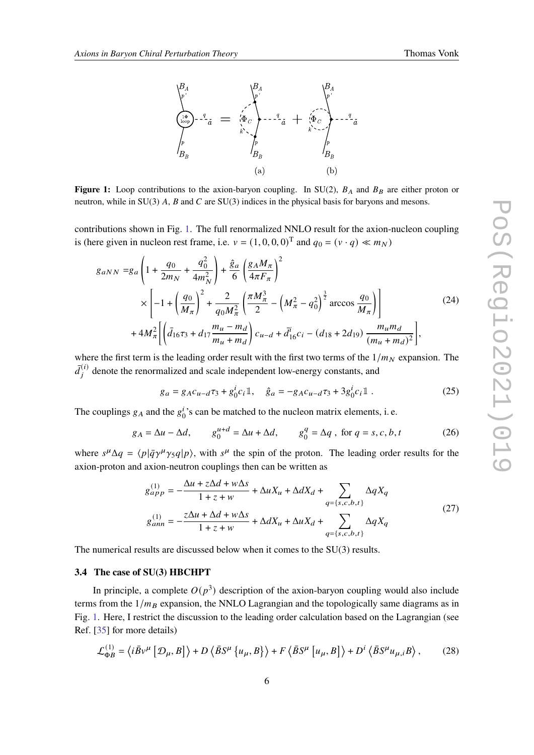

<span id="page-5-0"></span>

**Figure 1:** Loop contributions to the axion-baryon coupling. In SU(2),  $B_A$  and  $B_B$  are either proton or neutron, while in SU(3)  $A$ ,  $B$  and  $C$  are SU(3) indices in the physical basis for baryons and mesons.

contributions shown in Fig. [1.](#page-5-0) The full renormalized NNLO result for the axion-nucleon coupling is (here given in nucleon rest frame, i.e.  $v = (1, 0, 0, 0)^T$  and  $q_0 = (v \cdot q) \ll m_N$ )

$$
g_{aNN} = g_a \left( 1 + \frac{q_0}{2m_N} + \frac{q_0^2}{4m_N^2} \right) + \frac{\hat{g}_a}{6} \left( \frac{g_A M_\pi}{4\pi F_\pi} \right)^2
$$
  
 
$$
\times \left[ -1 + \left( \frac{q_0}{M_\pi} \right)^2 + \frac{2}{q_0 M_\pi^2} \left( \frac{\pi M_\pi^3}{2} - \left( M_\pi^2 - q_0^2 \right)^{\frac{3}{2}} \arccos \frac{q_0}{M_\pi} \right) \right]
$$
  
 
$$
+ 4M_\pi^2 \left[ \left( \bar{d}_{16} \tau_3 + d_{17} \frac{m_u - m_d}{m_u + m_d} \right) c_{u-d} + \bar{d}_{16}^i c_i - (d_{18} + 2d_{19}) \frac{m_u m_d}{(m_u + m_d)^2} \right],
$$
 (24)

where the first term is the leading order result with the first two terms of the  $1/m_N$  expansion. The  $\bar{d}_i^{(i)}$  denote the renormalized and scale independent low-energy constants, and

$$
g_a = g_A c_{u-d} \tau_3 + g_0^i c_i \mathbb{1}, \quad \hat{g}_a = -g_A c_{u-d} \tau_3 + 3g_0^i c_i \mathbb{1} \ . \tag{25}
$$

The couplings  $g_A$  and the  $g_f^i$  $\frac{1}{0}$ 's can be matched to the nucleon matrix elements, i. e.

$$
g_A = \Delta u - \Delta d, \qquad g_0^{u+d} = \Delta u + \Delta d, \qquad g_0^q = \Delta q \text{ , for } q = s, c, b, t
$$
 (26)

where  $s^{\mu}\Delta q = \langle p|\bar{q}\gamma^{\mu}\gamma_5 q|p\rangle$ , with  $s^{\mu}$  the spin of the proton. The leading order results for the axion-proton and axion-neutron couplings then can be written as

<span id="page-5-1"></span>
$$
g_{app}^{(1)} = -\frac{\Delta u + z\Delta d + w\Delta s}{1 + z + w} + \Delta u X_u + \Delta d X_d + \sum_{q=\{s,c,b,t\}} \Delta q X_q
$$
  

$$
g_{ann}^{(1)} = -\frac{z\Delta u + \Delta d + w\Delta s}{1 + z + w} + \Delta d X_u + \Delta u X_d + \sum_{q=\{s,c,b,t\}} \Delta q X_q
$$
 (27)

The numerical results are discussed below when it comes to the SU(3) results.

#### **3.4 The case of SU(3) HBCHPT**

In principle, a complete  $O(p^3)$  description of the axion-baryon coupling would also include terms from the  $1/m_B$  expansion, the NNLO Lagrangian and the topologically same diagrams as in Fig. [1.](#page-5-0) Here, I restrict the discussion to the leading order calculation based on the Lagrangian (see Ref. [\[35\]](#page-9-6) for more details)

$$
\mathcal{L}_{\Phi B}^{(1)} = \left\langle i \bar{B} \nu^{\mu} \left[ \mathcal{D}_{\mu}, B \right] \right\rangle + D \left\langle \bar{B} S^{\mu} \left\{ u_{\mu}, B \right\} \right\rangle + F \left\langle \bar{B} S^{\mu} \left[ u_{\mu}, B \right] \right\rangle + D^{i} \left\langle \bar{B} S^{\mu} u_{\mu, i} B \right\rangle, \tag{28}
$$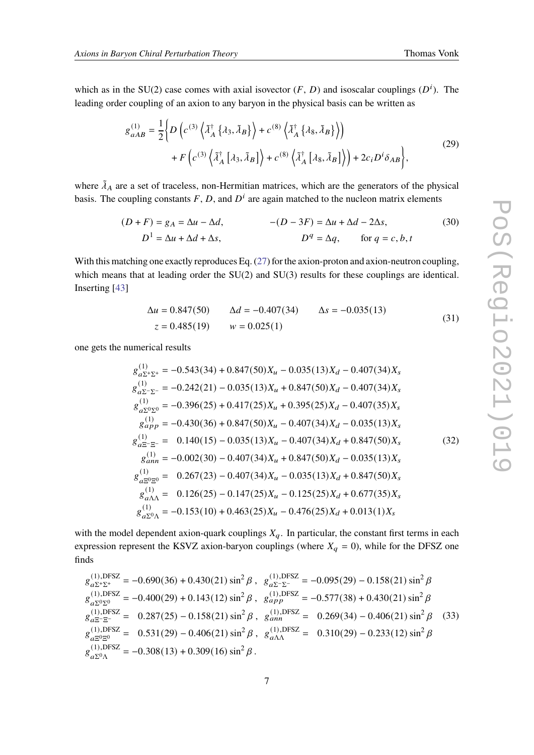which as in the SU(2) case comes with axial isovector  $(F, D)$  and isoscalar couplings  $(D<sup>i</sup>)$ . The leading order coupling of an axion to any baryon in the physical basis can be written as

$$
g_{aAB}^{(1)} = \frac{1}{2} \Big\{ D \left( c^{(3)} \left\langle \tilde{\lambda}_A^{\dagger} \{ \lambda_3, \tilde{\lambda}_B \} \right\rangle + c^{(8)} \left\langle \tilde{\lambda}_A^{\dagger} \{ \lambda_8, \tilde{\lambda}_B \} \right\rangle \right) + F \left( c^{(3)} \left\langle \tilde{\lambda}_A^{\dagger} \{ \lambda_3, \tilde{\lambda}_B \} \right\rangle + c^{(8)} \left\langle \tilde{\lambda}_A^{\dagger} \{ \lambda_8, \tilde{\lambda}_B \} \right\rangle \right) + 2c_i D^i \delta_{AB} \Big\},
$$
(29)

where  $\tilde{\lambda}_A$  are a set of traceless, non-Hermitian matrices, which are the generators of the physical basis. The coupling constants F, D, and  $D^i$  are again matched to the nucleon matrix elements

$$
(D+F) = g_A = \Delta u - \Delta d, \qquad -(D-3F) = \Delta u + \Delta d - 2\Delta s, \qquad (30)
$$

$$
D^1 = \Delta u + \Delta d + \Delta s, \qquad D^q = \Delta q, \qquad \text{for } q = c, b, t
$$

With this matching one exactly reproduces Eq. [\(27\)](#page-5-1) for the axion-proton and axion-neutron coupling, which means that at leading order the SU(2) and SU(3) results for these couplings are identical. Inserting [\[43\]](#page-9-13)

$$
\Delta u = 0.847(50) \qquad \Delta d = -0.407(34) \qquad \Delta s = -0.035(13)
$$
  

$$
z = 0.485(19) \qquad w = 0.025(1)
$$
 (31)

one gets the numerical results

(1)

$$
g_{a\Sigma^{+}\Sigma^{+}}^{(1)} = -0.543(34) + 0.847(50)X_{u} - 0.035(13)X_{d} - 0.407(34)X_{s}
$$
  
\n
$$
g_{a\Sigma^{-}\Sigma^{-}}^{(1)} = -0.242(21) - 0.035(13)X_{u} + 0.847(50)X_{d} - 0.407(34)X_{s}
$$
  
\n
$$
g_{a\Sigma^{0}\Sigma^{0}}^{(1)} = -0.396(25) + 0.417(25)X_{u} + 0.395(25)X_{d} - 0.407(35)X_{s}
$$
  
\n
$$
g_{app}^{(1)} = -0.430(36) + 0.847(50)X_{u} - 0.407(34)X_{d} - 0.035(13)X_{s}
$$
  
\n
$$
g_{a\Sigma^{-}=}^{(1)} = 0.140(15) - 0.035(13)X_{u} - 0.407(34)X_{d} + 0.847(50)X_{s}
$$
  
\n
$$
g_{amn}^{(1)} = -0.002(30) - 0.407(34)X_{u} + 0.847(50)X_{d} - 0.035(13)X_{s}
$$
  
\n
$$
g_{a\Sigma^{0}\Sigma^{0}}^{(1)} = 0.267(23) - 0.407(34)X_{u} - 0.035(13)X_{d} + 0.847(50)X_{s}
$$
  
\n
$$
g_{a\Lambda\Lambda}^{(1)} = 0.126(25) - 0.147(25)X_{u} - 0.125(25)X_{d} + 0.677(35)X_{s}
$$
  
\n
$$
g_{a\Sigma^{0}\Lambda}^{(1)} = -0.153(10) + 0.463(25)X_{u} - 0.476(25)X_{d} + 0.013(1)X_{s}
$$

with the model dependent axion-quark couplings  $X_q$ . In particular, the constant first terms in each expression represent the KSVZ axion-baryon couplings (where  $X_q = 0$ ), while for the DFSZ one finds

$$
g_{a\Sigma^{+}\Sigma^{+}}^{(1),\text{DFSZ}} = -0.690(36) + 0.430(21) \sin^{2} \beta , g_{a\Sigma^{-}\Sigma^{-}}^{(1),\text{DFSZ}} = -0.095(29) - 0.158(21) \sin^{2} \beta g_{a\Sigma^{0}\Sigma^{0}}^{(1),\text{DFSZ}} = -0.400(29) + 0.143(12) \sin^{2} \beta , g_{app}^{(1),\text{DFSZ}} = -0.577(38) + 0.430(21) \sin^{2} \beta g_{a\Sigma^{0}\Sigma^{0}}^{(1),\text{DFSZ}} = 0.287(25) - 0.158(21) \sin^{2} \beta , g_{ann}^{(1),\text{DFSZ}} = 0.269(34) - 0.406(21) \sin^{2} \beta (33) g_{a\Sigma^{0}\Sigma^{0}}^{(1),\text{DFSZ}} = 0.531(29) - 0.406(21) \sin^{2} \beta , g_{a\Lambda\Lambda}^{(1),\text{DFSZ}} = 0.310(29) - 0.233(12) \sin^{2} \beta g_{a\Sigma^{0}\Lambda}^{(1),\text{DFSZ}} = -0.308(13) + 0.309(16) \sin^{2} \beta .
$$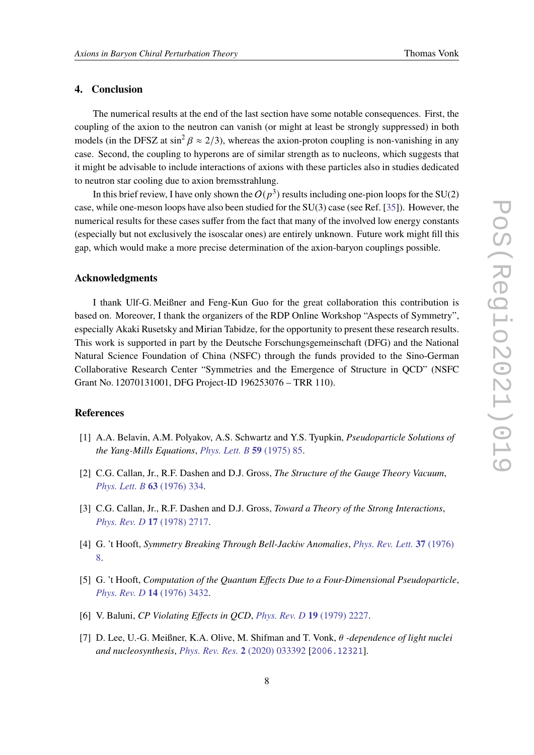#### **4. Conclusion**

The numerical results at the end of the last section have some notable consequences. First, the coupling of the axion to the neutron can vanish (or might at least be strongly suppressed) in both models (in the DFSZ at  $\sin^2 \beta \approx 2/3$ ), whereas the axion-proton coupling is non-vanishing in any case. Second, the coupling to hyperons are of similar strength as to nucleons, which suggests that it might be advisable to include interactions of axions with these particles also in studies dedicated to neutron star cooling due to axion bremsstrahlung.

In this brief review, I have only shown the  $O(p^3)$  results including one-pion loops for the SU(2) case, while one-meson loops have also been studied for the SU(3) case (see Ref. [\[35\]](#page-9-6)). However, the numerical results for these cases suffer from the fact that many of the involved low energy constants (especially but not exclusively the isoscalar ones) are entirely unknown. Future work might fill this gap, which would make a more precise determination of the axion-baryon couplings possible.

#### **Acknowledgments**

I thank Ulf-G. Meißner and Feng-Kun Guo for the great collaboration this contribution is based on. Moreover, I thank the organizers of the RDP Online Workshop "Aspects of Symmetry", especially Akaki Rusetsky and Mirian Tabidze, for the opportunity to present these research results. This work is supported in part by the Deutsche Forschungsgemeinschaft (DFG) and the National Natural Science Foundation of China (NSFC) through the funds provided to the Sino-German Collaborative Research Center "Symmetries and the Emergence of Structure in QCD" (NSFC Grant No. 12070131001, DFG Project-ID 196253076 – TRR 110).

### **References**

- <span id="page-7-0"></span>[1] A.A. Belavin, A.M. Polyakov, A.S. Schwartz and Y.S. Tyupkin, *Pseudoparticle Solutions of the Yang-Mills Equations*, *[Phys. Lett. B](https://doi.org/10.1016/0370-2693(75)90163-X)* **59** (1975) 85.
- <span id="page-7-1"></span>[2] C.G. Callan, Jr., R.F. Dashen and D.J. Gross, *The Structure of the Gauge Theory Vacuum*, *[Phys. Lett. B](https://doi.org/10.1016/0370-2693(76)90277-X)* **63** (1976) 334.
- <span id="page-7-2"></span>[3] C.G. Callan, Jr., R.F. Dashen and D.J. Gross, *Toward a Theory of the Strong Interactions*, *[Phys. Rev. D](https://doi.org/10.1103/PhysRevD.17.2717)* **17** (1978) 2717.
- <span id="page-7-3"></span>[4] G. 't Hooft, *Symmetry Breaking Through Bell-Jackiw Anomalies*, *[Phys. Rev. Lett.](https://doi.org/10.1103/PhysRevLett.37.8)* **37** (1976) [8.](https://doi.org/10.1103/PhysRevLett.37.8)
- <span id="page-7-4"></span>[5] G. 't Hooft, *Computation of the Quantum Effects Due to a Four-Dimensional Pseudoparticle*, *[Phys. Rev. D](https://doi.org/10.1103/PhysRevD.14.3432)* **14** (1976) 3432.
- <span id="page-7-5"></span>[6] V. Baluni, *CP Violating Effects in QCD*, *[Phys. Rev. D](https://doi.org/10.1103/PhysRevD.19.2227)* **19** (1979) 2227.
- <span id="page-7-6"></span>[7] D. Lee, U.-G. Meißner, K.A. Olive, M. Shifman and T. Vonk, *-dependence of light nuclei and nucleosynthesis*, *[Phys. Rev. Res.](https://doi.org/10.1103/PhysRevResearch.2.033392)* **2** (2020) 033392 [[2006.12321](https://arxiv.org/abs/2006.12321)].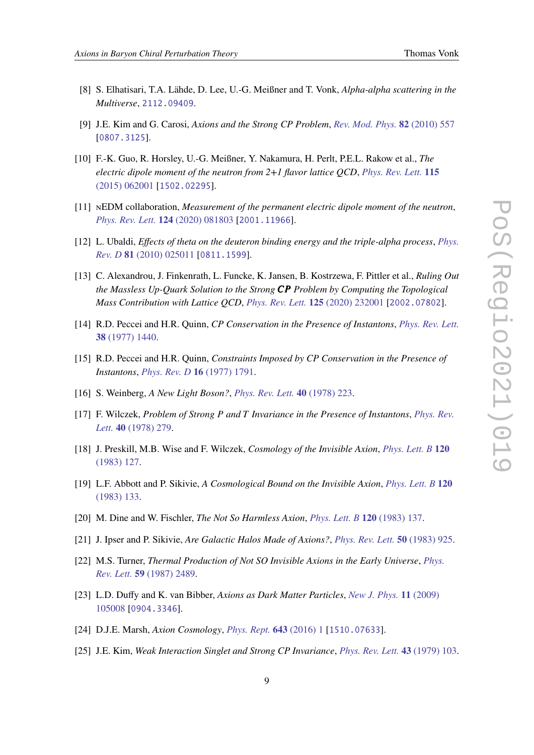- <span id="page-8-0"></span>[8] S. Elhatisari, T.A. Lähde, D. Lee, U.-G. Meißner and T. Vonk, *Alpha-alpha scattering in the Multiverse*, [2112.09409](https://arxiv.org/abs/2112.09409).
- <span id="page-8-1"></span>[9] J.E. Kim and G. Carosi, *Axions and the Strong CP Problem*, *[Rev. Mod. Phys.](https://doi.org/10.1103/RevModPhys.82.557)* **82** (2010) 557 [[0807.3125](https://arxiv.org/abs/0807.3125)].
- <span id="page-8-2"></span>[10] F.-K. Guo, R. Horsley, U.-G. Meißner, Y. Nakamura, H. Perlt, P.E.L. Rakow et al., *The electric dipole moment of the neutron from 2+1 flavor lattice QCD*, *[Phys. Rev. Lett.](https://doi.org/10.1103/PhysRevLett.115.062001)* **115** [\(2015\) 062001](https://doi.org/10.1103/PhysRevLett.115.062001) [[1502.02295](https://arxiv.org/abs/1502.02295)].
- <span id="page-8-3"></span>[11] nEDM collaboration, *Measurement of the permanent electric dipole moment of the neutron*, *[Phys. Rev. Lett.](https://doi.org/10.1103/PhysRevLett.124.081803)* **124** (2020) 081803 [[2001.11966](https://arxiv.org/abs/2001.11966)].
- <span id="page-8-4"></span>[12] L. Ubaldi, *Effects of theta on the deuteron binding energy and the triple-alpha process*, *[Phys.](https://doi.org/10.1103/PhysRevD.81.025011) Rev. D* **81** [\(2010\) 025011](https://doi.org/10.1103/PhysRevD.81.025011) [[0811.1599](https://arxiv.org/abs/0811.1599)].
- <span id="page-8-5"></span>[13] C. Alexandrou, J. Finkenrath, L. Funcke, K. Jansen, B. Kostrzewa, F. Pittler et al., *Ruling Out the Massless Up-Quark Solution to the Strong Problem by Computing the Topological Mass Contribution with Lattice QCD*, *[Phys. Rev. Lett.](https://doi.org/10.1103/PhysRevLett.125.232001)* **125** (2020) 232001 [[2002.07802](https://arxiv.org/abs/2002.07802)].
- <span id="page-8-6"></span>[14] R.D. Peccei and H.R. Quinn, *CP Conservation in the Presence of Instantons*, *[Phys. Rev. Lett.](https://doi.org/10.1103/PhysRevLett.38.1440)* **38** [\(1977\) 1440.](https://doi.org/10.1103/PhysRevLett.38.1440)
- <span id="page-8-7"></span>[15] R.D. Peccei and H.R. Quinn, *Constraints Imposed by CP Conservation in the Presence of Instantons*, *[Phys. Rev. D](https://doi.org/10.1103/PhysRevD.16.1791)* **16** (1977) 1791.
- <span id="page-8-8"></span>[16] S. Weinberg, *A New Light Boson?*, *[Phys. Rev. Lett.](https://doi.org/10.1103/PhysRevLett.40.223)* **40** (1978) 223.
- <span id="page-8-9"></span>[17] F. Wilczek, *Problem of Strong and Invariance in the Presence of Instantons*, *[Phys. Rev.](https://doi.org/10.1103/PhysRevLett.40.279) Lett.* **40** [\(1978\) 279.](https://doi.org/10.1103/PhysRevLett.40.279)
- <span id="page-8-10"></span>[18] J. Preskill, M.B. Wise and F. Wilczek, *Cosmology of the Invisible Axion*, *[Phys. Lett. B](https://doi.org/10.1016/0370-2693(83)90637-8)* **120** [\(1983\) 127.](https://doi.org/10.1016/0370-2693(83)90637-8)
- <span id="page-8-13"></span>[19] L.F. Abbott and P. Sikivie, *A Cosmological Bound on the Invisible Axion*, *[Phys. Lett. B](https://doi.org/10.1016/0370-2693(83)90638-X)* **120** [\(1983\) 133.](https://doi.org/10.1016/0370-2693(83)90638-X)
- [20] M. Dine and W. Fischler, *The Not So Harmless Axion*, *[Phys. Lett. B](https://doi.org/10.1016/0370-2693(83)90639-1)* **120** (1983) 137.
- [21] J. Ipser and P. Sikivie, *Are Galactic Halos Made of Axions?*, *[Phys. Rev. Lett.](https://doi.org/10.1103/PhysRevLett.50.925)* **50** (1983) 925.
- [22] M.S. Turner, *Thermal Production of Not SO Invisible Axions in the Early Universe*, *[Phys.](https://doi.org/10.1103/PhysRevLett.59.2489) Rev. Lett.* **59** [\(1987\) 2489.](https://doi.org/10.1103/PhysRevLett.59.2489)
- [23] L.D. Duffy and K. van Bibber, *Axions as Dark Matter Particles*, *[New J. Phys.](https://doi.org/10.1088/1367-2630/11/10/105008)* **11** (2009) [105008](https://doi.org/10.1088/1367-2630/11/10/105008) [[0904.3346](https://arxiv.org/abs/0904.3346)].
- <span id="page-8-11"></span>[24] D.J.E. Marsh, *Axion Cosmology*, *[Phys. Rept.](https://doi.org/10.1016/j.physrep.2016.06.005)* **643** (2016) 1 [[1510.07633](https://arxiv.org/abs/1510.07633)].
- <span id="page-8-12"></span>[25] J.E. Kim, *Weak Interaction Singlet and Strong CP Invariance*, *[Phys. Rev. Lett.](https://doi.org/10.1103/PhysRevLett.43.103)* **43** (1979) 103.